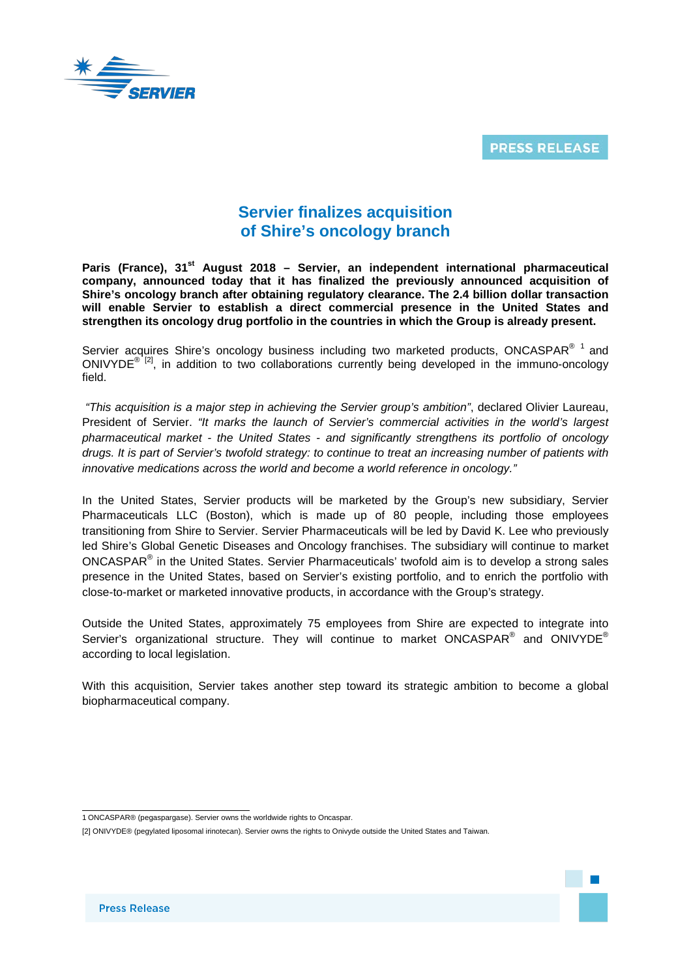

**PRESS RELEASE** 

## **Servier finalizes acquisition of Shire's oncology branch**

Paris (France), 31<sup>st</sup> August 2018 – Servier, an independent international pharmaceutical **company, announced today that it has finalized the previously announced acquisition of Shire's oncology branch after obtaining regulatory clearance. The 2.4 billion dollar transaction will enable Servier to establish a direct commercial presence in the United States and strengthen its oncology drug portfolio in the countries in which the Group is already present.**

Servier acquires Shire's oncology business including two marketed products, ONCASPAR $^{\circ}$  [1](#page-0-0) and ONIVYDE<sup>® [2]</sup>, in addition to two collaborations currently being developed in the immuno-oncology field.

*"This acquisition is a major step in achieving the Servier group's ambition"*, declared Olivier Laureau, President of Servier. *"It marks the launch of Servier's commercial activities in the world's largest pharmaceutical market - the United States - and significantly strengthens its portfolio of oncology drugs. It is part of Servier's twofold strategy: to continue to treat an increasing number of patients with innovative medications across the world and become a world reference in oncology."*

In the United States, Servier products will be marketed by the Group's new subsidiary, Servier Pharmaceuticals LLC (Boston), which is made up of 80 people, including those employees transitioning from Shire to Servier. Servier Pharmaceuticals will be led by David K. Lee who previously led Shire's Global Genetic Diseases and Oncology franchises. The subsidiary will continue to market ONCASPAR® in the United States. Servier Pharmaceuticals' twofold aim is to develop a strong sales presence in the United States, based on Servier's existing portfolio, and to enrich the portfolio with close-to-market or marketed innovative products, in accordance with the Group's strategy.

Outside the United States, approximately 75 employees from Shire are expected to integrate into Servier's organizational structure. They will continue to market ONCASPAR<sup>®</sup> and ONIVYDE<sup>®</sup> according to local legislation.

With this acquisition, Servier takes another step toward its strategic ambition to become a global biopharmaceutical company.

 <sup>1</sup> ONCASPAR® (pegaspargase). Servier owns the worldwide rights to Oncaspar.

<span id="page-0-1"></span><span id="page-0-0"></span><sup>[2]</sup> ONIVYDE® (pegylated liposomal irinotecan). Servier owns the rights to Onivyde outside the United States and Taiwan.